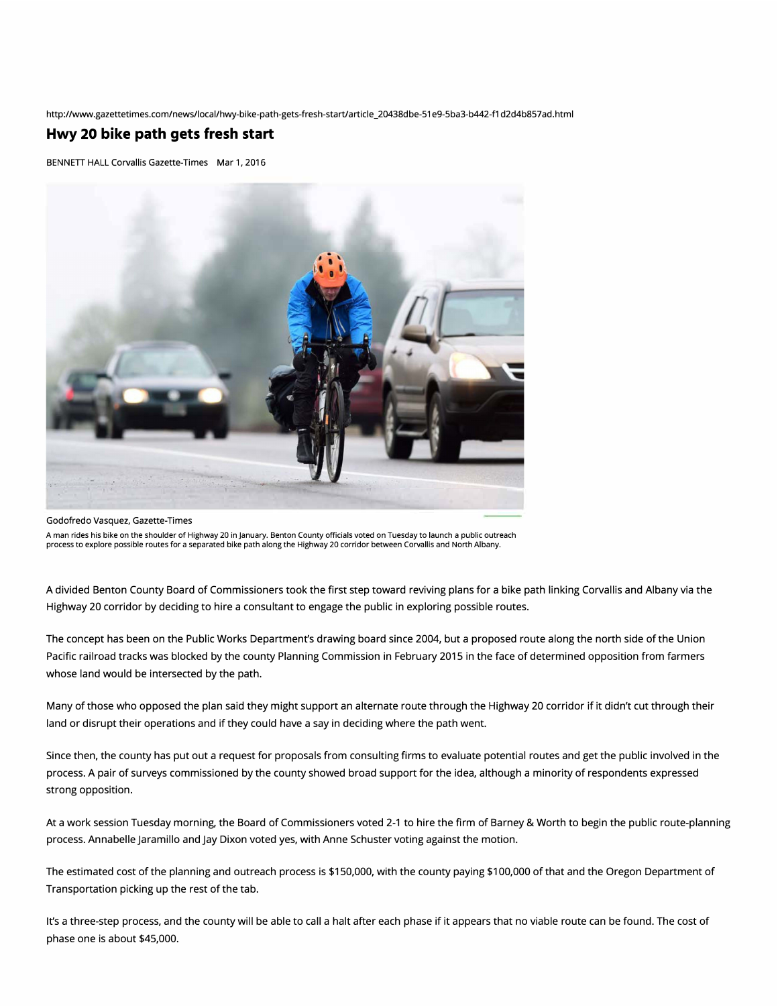http://www.gazettetimes.com/news/local/hwy-bike-path-gets-fresh-start/article\_20438dbe-51 e9-Sba3-b442-f1 d2d4b857ad.html

## **Hwy 20 bike path gets fresh start**

BENNETT HALL Corvallis Gazette-Times Mar 1, 2016



Godofredo Vasquez, Gazette-Times A man rides his bike on the shoulder of Highway 20 in January. Benton County officials voted on Tuesday to launch a public outreach process to explore possible routes for a separated bike path along the Highway 20 corridor between Corvallis and North Albany.

A divided Benton County Board of Commissioners took the first step toward reviving plans for a bike path linking Corvallis and Albany via the Highway 20 corridor by deciding to hire a consultant to engage the public in exploring possible routes.

The concept has been on the Public Works Department's drawing board since 2004, but a proposed route along the north side of the Union Pacific railroad tracks was blocked by the county Planning Commission in February 2015 in the face of determined opposition from farmers whose land would be intersected by the path.

Many of those who opposed the plan said they might support an alternate route through the Highway 20 corridor if it didn't cut through their land or disrupt their operations and if they could have a say in deciding where the path went.

Since then, the county has put out a request for proposals from consulting firms to evaluate potential routes and get the public involved in the process. A pair of surveys commissioned by the county showed broad support for the idea, although a minority of respondents expressed strong opposition.

At a work session Tuesday morning, the Board of Commissioners voted 2-1 to hire the firm of Barney & Worth to begin the public route-planning process. Annabelle Jaramillo and Jay Dixon voted yes, with Anne Schuster voting against the motion.

The estimated cost of the planning and outreach process is \$150,000, with the county paying \$100,000 of that and the Oregon Department of Transportation picking up the rest of the tab.

It's a three-step process, and the county will be able to call a halt after each phase if it appears that no viable route can be found. The cost of phase one is about \$45,000.